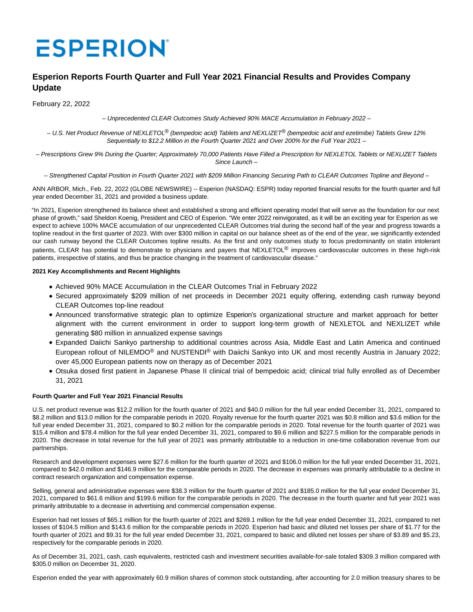# **ESPERION**

# **Esperion Reports Fourth Quarter and Full Year 2021 Financial Results and Provides Company Update**

February 22, 2022

– Unprecedented CLEAR Outcomes Study Achieved 90% MACE Accumulation in February 2022 –

– U.S. Net Product Revenue of NEXLETOL® (bempedoic acid) Tablets and NEXLIZET® (bempedoic acid and ezetimibe) Tablets Grew 12% Sequentially to \$12.2 Million in the Fourth Quarter 2021 and Over 200% for the Full Year 2021 –

– Prescriptions Grew 9% During the Quarter; Approximately 70,000 Patients Have Filled a Prescription for NEXLETOL Tablets or NEXLIZET Tablets Since Launch –

– Strengthened Capital Position in Fourth Quarter 2021 with \$209 Million Financing Securing Path to CLEAR Outcomes Topline and Beyond –

ANN ARBOR, Mich., Feb. 22, 2022 (GLOBE NEWSWIRE) -- Esperion (NASDAQ: ESPR) today reported financial results for the fourth quarter and full year ended December 31, 2021 and provided a business update.

"In 2021, Esperion strengthened its balance sheet and established a strong and efficient operating model that will serve as the foundation for our next phase of growth," said Sheldon Koenig, President and CEO of Esperion. "We enter 2022 reinvigorated, as it will be an exciting year for Esperion as we expect to achieve 100% MACE accumulation of our unprecedented CLEAR Outcomes trial during the second half of the year and progress towards a topline readout in the first quarter of 2023. With over \$300 million in capital on our balance sheet as of the end of the year, we significantly extended our cash runway beyond the CLEAR Outcomes topline results. As the first and only outcomes study to focus predominantly on statin intolerant patients, CLEAR has potential to demonstrate to physicians and payers that NEXLETOL® improves cardiovascular outcomes in these high-risk patients, irrespective of statins, and thus be practice changing in the treatment of cardiovascular disease."

# **2021 Key Accomplishments and Recent Highlights**

- Achieved 90% MACE Accumulation in the CLEAR Outcomes Trial in February 2022
- Secured approximately \$209 million of net proceeds in December 2021 equity offering, extending cash runway beyond CLEAR Outcomes top-line readout
- Announced transformative strategic plan to optimize Esperion's organizational structure and market approach for better alignment with the current environment in order to support long-term growth of NEXLETOL and NEXLIZET while generating \$80 million in annualized expense savings
- Expanded Daiichi Sankyo partnership to additional countries across Asia, Middle East and Latin America and continued European rollout of NILEMDO® and NUSTENDI® with Daiichi Sankyo into UK and most recently Austria in January 2022; over 45,000 European patients now on therapy as of December 2021
- Otsuka dosed first patient in Japanese Phase II clinical trial of bempedoic acid; clinical trial fully enrolled as of December 31, 2021

# **Fourth Quarter and Full Year 2021 Financial Results**

U.S. net product revenue was \$12.2 million for the fourth quarter of 2021 and \$40.0 million for the full year ended December 31, 2021, compared to \$8.2 million and \$13.0 million for the comparable periods in 2020. Royalty revenue for the fourth quarter 2021 was \$0.8 million and \$3.6 million for the full year ended December 31, 2021, compared to \$0.2 million for the comparable periods in 2020. Total revenue for the fourth quarter of 2021 was \$15.4 million and \$78.4 million for the full year ended December 31, 2021, compared to \$9.6 million and \$227.5 million for the comparable periods in 2020. The decrease in total revenue for the full year of 2021 was primarily attributable to a reduction in one-time collaboration revenue from our partnerships.

Research and development expenses were \$27.6 million for the fourth quarter of 2021 and \$106.0 million for the full year ended December 31, 2021, compared to \$42.0 million and \$146.9 million for the comparable periods in 2020. The decrease in expenses was primarily attributable to a decline in contract research organization and compensation expense.

Selling, general and administrative expenses were \$38.3 million for the fourth quarter of 2021 and \$185.0 million for the full year ended December 31, 2021, compared to \$61.6 million and \$199.6 million for the comparable periods in 2020. The decrease in the fourth quarter and full year 2021 was primarily attributable to a decrease in advertising and commercial compensation expense.

Esperion had net losses of \$65.1 million for the fourth quarter of 2021 and \$269.1 million for the full year ended December 31, 2021, compared to net losses of \$104.5 million and \$143.6 million for the comparable periods in 2020. Esperion had basic and diluted net losses per share of \$1.77 for the fourth quarter of 2021 and \$9.31 for the full year ended December 31, 2021, compared to basic and diluted net losses per share of \$3.89 and \$5.23, respectively for the comparable periods in 2020.

As of December 31, 2021, cash, cash equivalents, restricted cash and investment securities available-for-sale totaled \$309.3 million compared with \$305.0 million on December 31, 2020.

Esperion ended the year with approximately 60.9 million shares of common stock outstanding, after accounting for 2.0 million treasury shares to be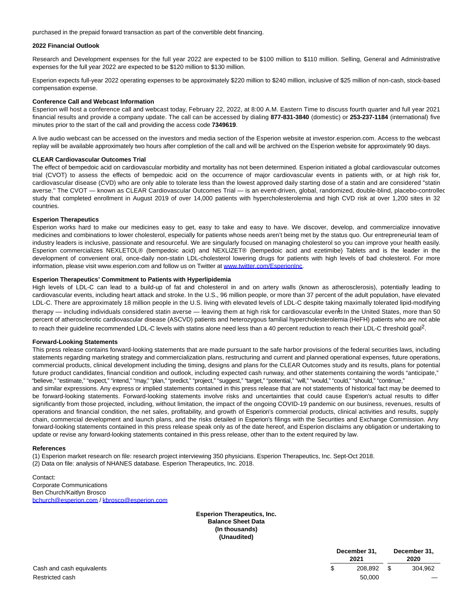purchased in the prepaid forward transaction as part of the convertible debt financing.

# **2022 Financial Outlook**

Research and Development expenses for the full year 2022 are expected to be \$100 million to \$110 million. Selling, General and Administrative expenses for the full year 2022 are expected to be \$120 million to \$130 million.

Esperion expects full-year 2022 operating expenses to be approximately \$220 million to \$240 million, inclusive of \$25 million of non-cash, stock-based compensation expense.

#### **Conference Call and Webcast Information**

Esperion will host a conference call and webcast today, February 22, 2022, at 8:00 A.M. Eastern Time to discuss fourth quarter and full year 2021 financial results and provide a company update. The call can be accessed by dialing **877-831-3840** (domestic) or **253-237-1184** (international) five minutes prior to the start of the call and providing the access code **7349619**.

A live audio webcast can be accessed on the investors and media section of the Esperion website at investor.esperion.com. Access to the webcast replay will be available approximately two hours after completion of the call and will be archived on the Esperion website for approximately 90 days.

#### **CLEAR Cardiovascular Outcomes Trial**

The effect of bempedoic acid on cardiovascular morbidity and mortality has not been determined. Esperion initiated a global cardiovascular outcomes trial (CVOT) to assess the effects of bempedoic acid on the occurrence of major cardiovascular events in patients with, or at high risk for, cardiovascular disease (CVD) who are only able to tolerate less than the lowest approved daily starting dose of a statin and are considered "statin averse." The CVOT — known as CLEAR Cardiovascular Outcomes Trial — is an event-driven, global, randomized, double-blind, placebo-controlled study that completed enrollment in August 2019 of over 14,000 patients with hypercholesterolemia and high CVD risk at over 1,200 sites in 32 countries.

# **Esperion Therapeutics**

Esperion works hard to make our medicines easy to get, easy to take and easy to have. We discover, develop, and commercialize innovative medicines and combinations to lower cholesterol, especially for patients whose needs aren't being met by the status quo. Our entrepreneurial team of industry leaders is inclusive, passionate and resourceful. We are singularly focused on managing cholesterol so you can improve your health easily. Esperion commercializes NEXLETOL® (bempedoic acid) and NEXLIZET® (bempedoic acid and ezetimibe) Tablets and is the leader in the development of convenient oral, once-daily non-statin LDL-cholesterol lowering drugs for patients with high levels of bad cholesterol. For more information, please visit www.esperion.com and follow us on Twitter at [www.twitter.com/EsperionInc.](https://www.globenewswire.com/Tracker?data=nuUVHNbbLhesSVGfV7wG5GGMPzqDQ4nj6vJfgj5pu-Z4sjhPhNM_Z8_KR3B_PwE0efbI-hotBJIPu8jlfLFqbDpuTDMmZOMVXwZ7CjDRfVccYS94Bo7XgkvO-KgzgyrU)

# **Esperion Therapeutics' Commitment to Patients with Hyperlipidemia**

High levels of LDL-C can lead to a build-up of fat and cholesterol in and on artery walls (known as atherosclerosis), potentially leading to cardiovascular events, including heart attack and stroke. In the U.S., 96 million people, or more than 37 percent of the adult population, have elevated LDL-C. There are approximately 18 million people in the U.S. living with elevated levels of LDL-C despite taking maximally tolerated lipid-modifying therapy — including individuals considered statin averse — leaving them at high risk for cardiovascular events In the United States, more than 50 percent of atherosclerotic cardiovascular disease (ASCVD) patients and heterozygous familial hypercholesterolemia (HeFH) patients who are not able to reach their guideline recommended LDL-C levels with statins alone need less than a 40 percent reduction to reach their LDL-C threshold goal<sup>2</sup>.

#### **Forward-Looking Statements**

This press release contains forward-looking statements that are made pursuant to the safe harbor provisions of the federal securities laws, including statements regarding marketing strategy and commercialization plans, restructuring and current and planned operational expenses, future operations, commercial products, clinical development including the timing, designs and plans for the CLEAR Outcomes study and its results, plans for potential future product candidates, financial condition and outlook, including expected cash runway, and other statements containing the words "anticipate," "believe," "estimate," "expect," "intend," "may," "plan," "predict," "project," "suggest," "target," "potential," "will," "would," "could," "should," "continue,"

and similar expressions. Any express or implied statements contained in this press release that are not statements of historical fact may be deemed to be forward-looking statements. Forward-looking statements involve risks and uncertainties that could cause Esperion's actual results to differ significantly from those projected, including, without limitation, the impact of the ongoing COVID-19 pandemic on our business, revenues, results of operations and financial condition, the net sales, profitability, and growth of Esperion's commercial products, clinical activities and results, supply chain, commercial development and launch plans, and the risks detailed in Esperion's filings with the Securities and Exchange Commission. Any forward-looking statements contained in this press release speak only as of the date hereof, and Esperion disclaims any obligation or undertaking to update or revise any forward-looking statements contained in this press release, other than to the extent required by law.

#### **References**

(1) Esperion market research on file: research project interviewing 350 physicians. Esperion Therapeutics, Inc. Sept-Oct 2018. (2) Data on file: analysis of NHANES database. Esperion Therapeutics, Inc. 2018.

Contact: Corporate Communications Ben Church/Kaitlyn Brosco [bchurch@esperion.com /](https://www.globenewswire.com/Tracker?data=JgndeQiEzagNzAUbZtm1OCYIIEjDbo_Ds9tlMBJ8EO8n8_s3OuHBEWr3fVBqRILsja0uA3Xoyfwe783_DZUogheLQt0q1NN9YgJfcJn1h68=) [kbrosco@esperion.com](https://www.globenewswire.com/Tracker?data=CDQfLHgh0ZMzPS2lC3f8duNeOSzej4huiyuTdDWuAIZKBrPOInyR544nLaUrz_0pmbo5nNUonQfLAwyQlwPxqfrl9msdzjDCVBvMMp96MDw=)

> **Esperion Therapeutics, Inc. Balance Sheet Data (In thousands) (Unaudited)**

| Cash and cash equivalents |
|---------------------------|
| Restricted cash           |

|                           |      | December 31. |  |                                 |
|---------------------------|------|--------------|--|---------------------------------|
| Cash and cash equivalents | 2021 |              |  | 2020                            |
|                           |      | 208.892 \$   |  | 304.962                         |
| Restricted cash           |      | 50,000       |  | $\hspace{0.1mm}-\hspace{0.1mm}$ |